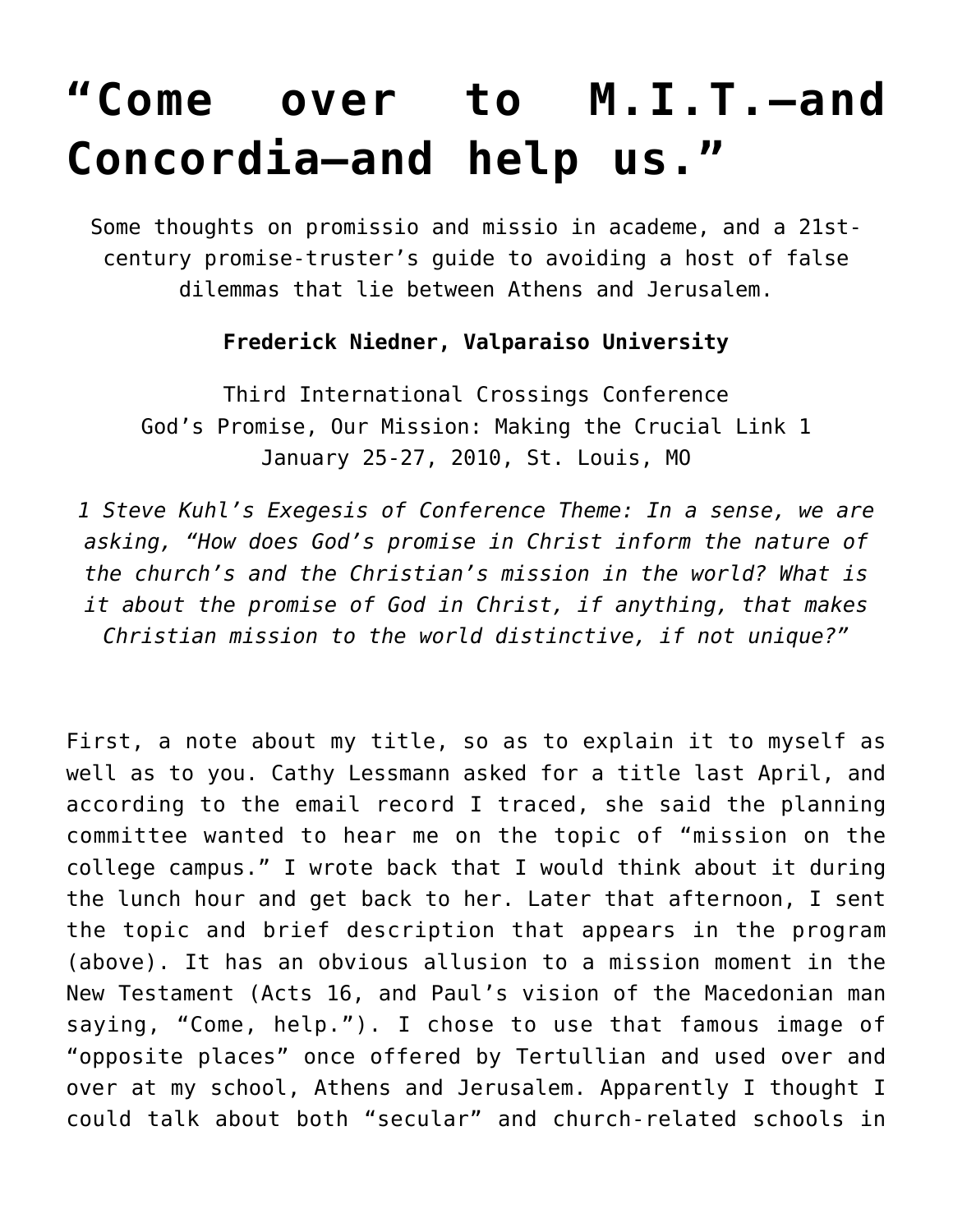# **["Come over to M.I.T.—and](https://crossings.org/come-over-to-mit-and-concordia/) [Concordia—and help us."](https://crossings.org/come-over-to-mit-and-concordia/)**

Some thoughts on promissio and missio in academe, and a 21stcentury promise-truster's guide to avoiding a host of false dilemmas that lie between Athens and Jerusalem.

#### **Frederick Niedner, Valparaiso University**

Third International Crossings Conference God's Promise, Our Mission: Making the Crucial Link 1 January 25-27, 2010, St. Louis, MO

*1 Steve Kuhl's Exegesis of Conference Theme: In a sense, we are asking, "How does God's promise in Christ inform the nature of the church's and the Christian's mission in the world? What is it about the promise of God in Christ, if anything, that makes Christian mission to the world distinctive, if not unique?"*

First, a note about my title, so as to explain it to myself as well as to you. Cathy Lessmann asked for a title last April, and according to the email record I traced, she said the planning committee wanted to hear me on the topic of "mission on the college campus." I wrote back that I would think about it during the lunch hour and get back to her. Later that afternoon, I sent the topic and brief description that appears in the program (above). It has an obvious allusion to a mission moment in the New Testament (Acts 16, and Paul's vision of the Macedonian man saying, "Come, help."). I chose to use that famous image of "opposite places" once offered by Tertullian and used over and over at my school, Athens and Jerusalem. Apparently I thought I could talk about both "secular" and church-related schools in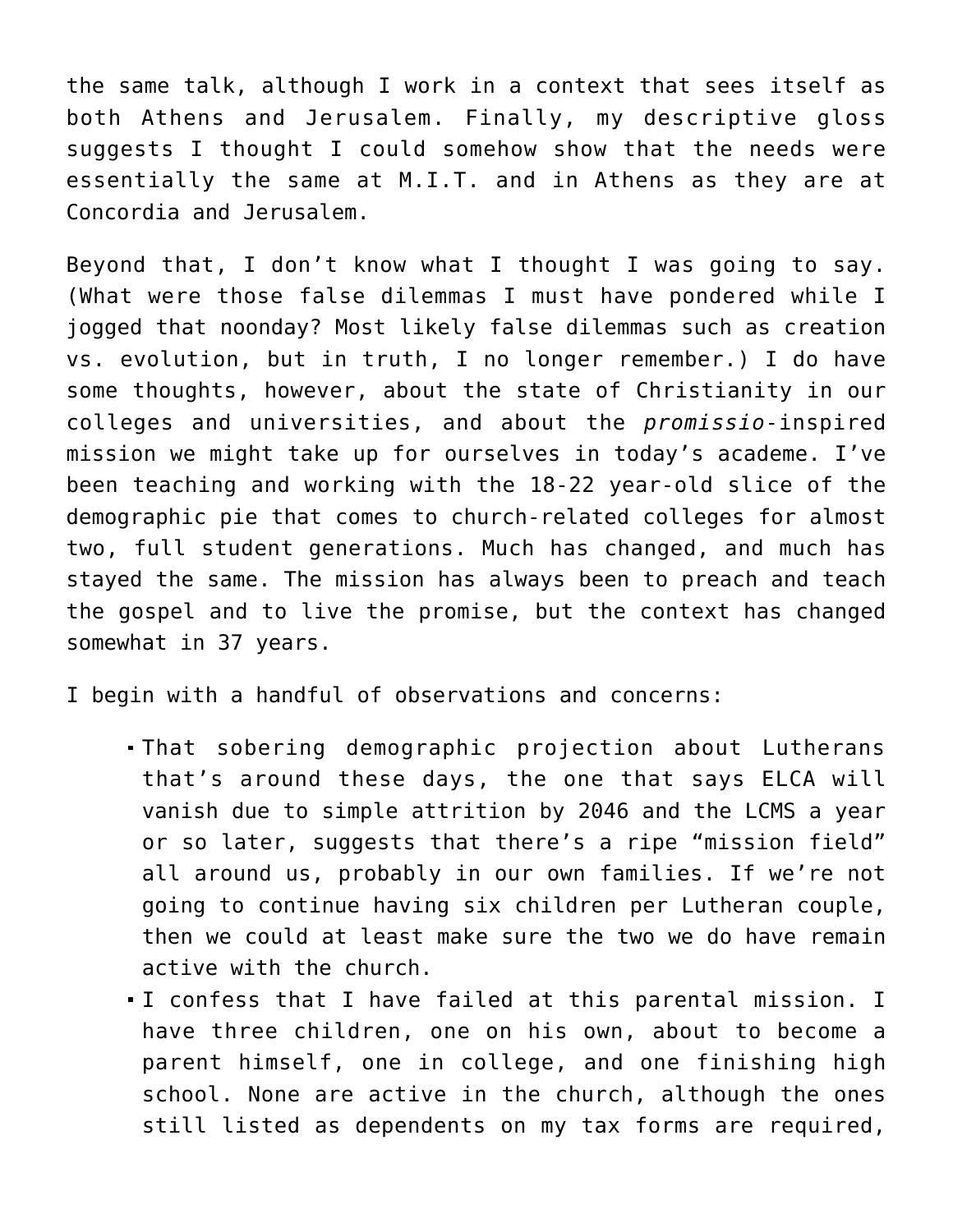the same talk, although I work in a context that sees itself as both Athens and Jerusalem. Finally, my descriptive gloss suggests I thought I could somehow show that the needs were essentially the same at M.I.T. and in Athens as they are at Concordia and Jerusalem.

Beyond that, I don't know what I thought I was going to say. (What were those false dilemmas I must have pondered while I jogged that noonday? Most likely false dilemmas such as creation vs. evolution, but in truth, I no longer remember.) I do have some thoughts, however, about the state of Christianity in our colleges and universities, and about the *promissio*-inspired mission we might take up for ourselves in today's academe. I've been teaching and working with the 18-22 year-old slice of the demographic pie that comes to church-related colleges for almost two, full student generations. Much has changed, and much has stayed the same. The mission has always been to preach and teach the gospel and to live the promise, but the context has changed somewhat in 37 years.

I begin with a handful of observations and concerns:

- That sobering demographic projection about Lutherans that's around these days, the one that says ELCA will vanish due to simple attrition by 2046 and the LCMS a year or so later, suggests that there's a ripe "mission field" all around us, probably in our own families. If we're not going to continue having six children per Lutheran couple, then we could at least make sure the two we do have remain active with the church.
- I confess that I have failed at this parental mission. I have three children, one on his own, about to become a parent himself, one in college, and one finishing high school. None are active in the church, although the ones still listed as dependents on my tax forms are required,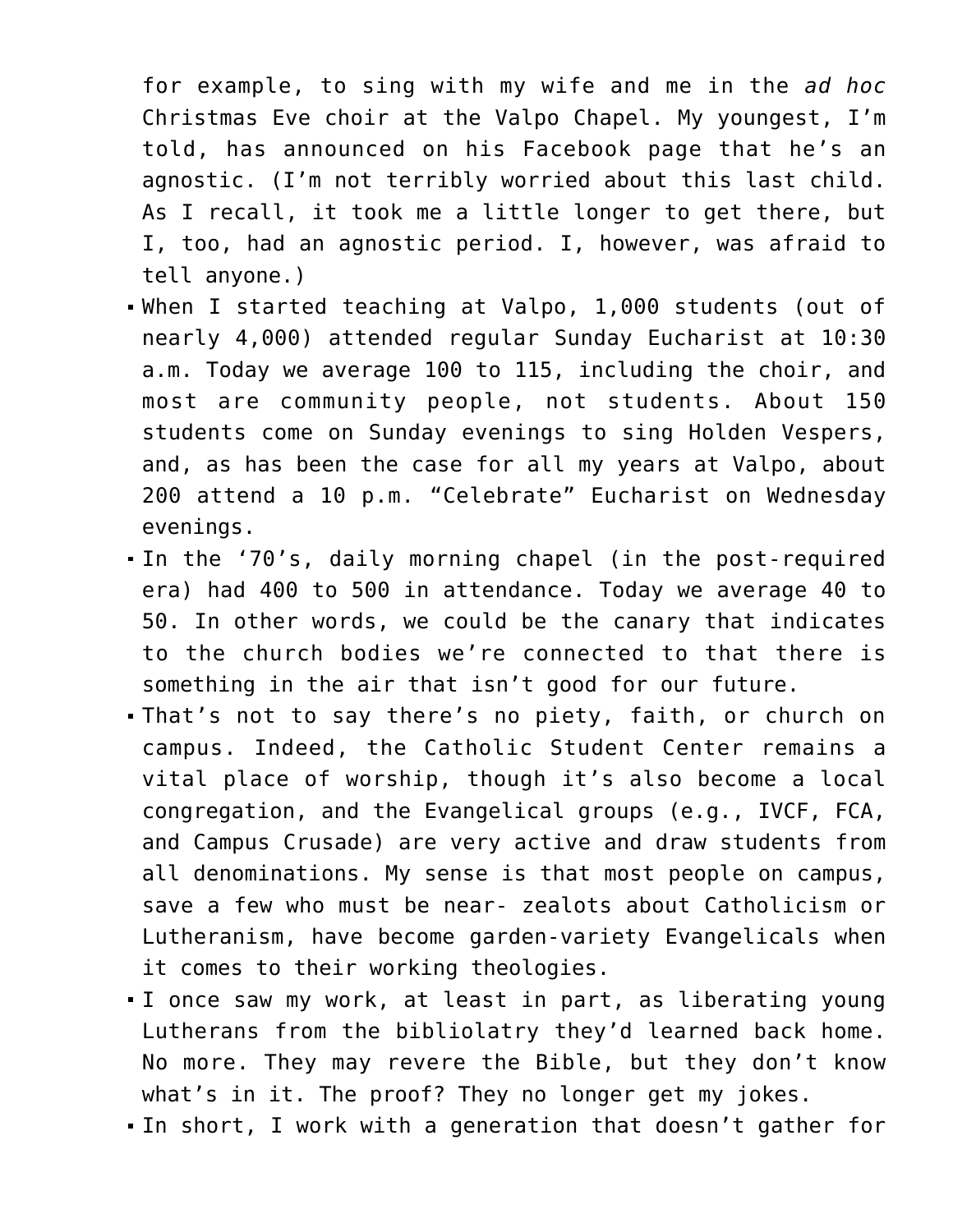for example, to sing with my wife and me in the *ad hoc* Christmas Eve choir at the Valpo Chapel. My youngest, I'm told, has announced on his Facebook page that he's an agnostic. (I'm not terribly worried about this last child. As I recall, it took me a little longer to get there, but I, too, had an agnostic period. I, however, was afraid to tell anyone.)

- When I started teaching at Valpo, 1,000 students (out of nearly 4,000) attended regular Sunday Eucharist at 10:30 a.m. Today we average 100 to 115, including the choir, and most are community people, not students. About 150 students come on Sunday evenings to sing Holden Vespers, and, as has been the case for all my years at Valpo, about 200 attend a 10 p.m. "Celebrate" Eucharist on Wednesday evenings.
- In the '70's, daily morning chapel (in the post-required era) had 400 to 500 in attendance. Today we average 40 to 50. In other words, we could be the canary that indicates to the church bodies we're connected to that there is something in the air that isn't good for our future.
- That's not to say there's no piety, faith, or church on campus. Indeed, the Catholic Student Center remains a vital place of worship, though it's also become a local congregation, and the Evangelical groups (e.g., IVCF, FCA, and Campus Crusade) are very active and draw students from all denominations. My sense is that most people on campus, save a few who must be near- zealots about Catholicism or Lutheranism, have become garden-variety Evangelicals when it comes to their working theologies.
- I once saw my work, at least in part, as liberating young Lutherans from the bibliolatry they'd learned back home. No more. They may revere the Bible, but they don't know what's in it. The proof? They no longer get my jokes.
- In short, I work with a generation that doesn't gather for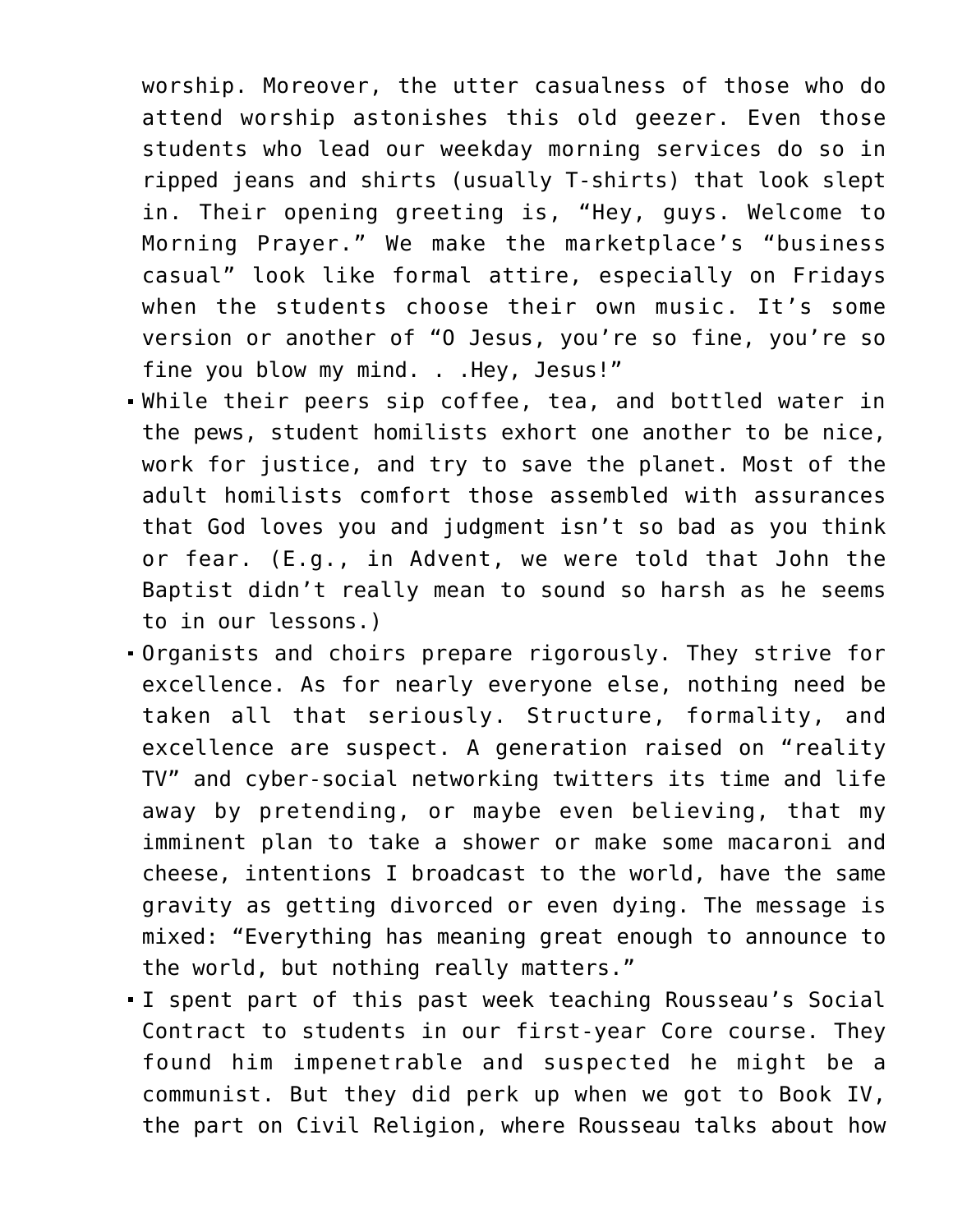worship. Moreover, the utter casualness of those who do attend worship astonishes this old geezer. Even those students who lead our weekday morning services do so in ripped jeans and shirts (usually T-shirts) that look slept in. Their opening greeting is, "Hey, guys. Welcome to Morning Prayer." We make the marketplace's "business casual" look like formal attire, especially on Fridays when the students choose their own music. It's some version or another of "O Jesus, you're so fine, you're so fine you blow my mind. . .Hey, Jesus!"

- While their peers sip coffee, tea, and bottled water in the pews, student homilists exhort one another to be nice, work for justice, and try to save the planet. Most of the adult homilists comfort those assembled with assurances that God loves you and judgment isn't so bad as you think or fear. (E.g., in Advent, we were told that John the Baptist didn't really mean to sound so harsh as he seems to in our lessons.)
- Organists and choirs prepare rigorously. They strive for excellence. As for nearly everyone else, nothing need be taken all that seriously. Structure, formality, and excellence are suspect. A generation raised on "reality TV" and cyber-social networking twitters its time and life away by pretending, or maybe even believing, that my imminent plan to take a shower or make some macaroni and cheese, intentions I broadcast to the world, have the same gravity as getting divorced or even dying. The message is mixed: "Everything has meaning great enough to announce to the world, but nothing really matters."
- I spent part of this past week teaching Rousseau's Social Contract to students in our first-year Core course. They found him impenetrable and suspected he might be a communist. But they did perk up when we got to Book IV, the part on Civil Religion, where Rousseau talks about how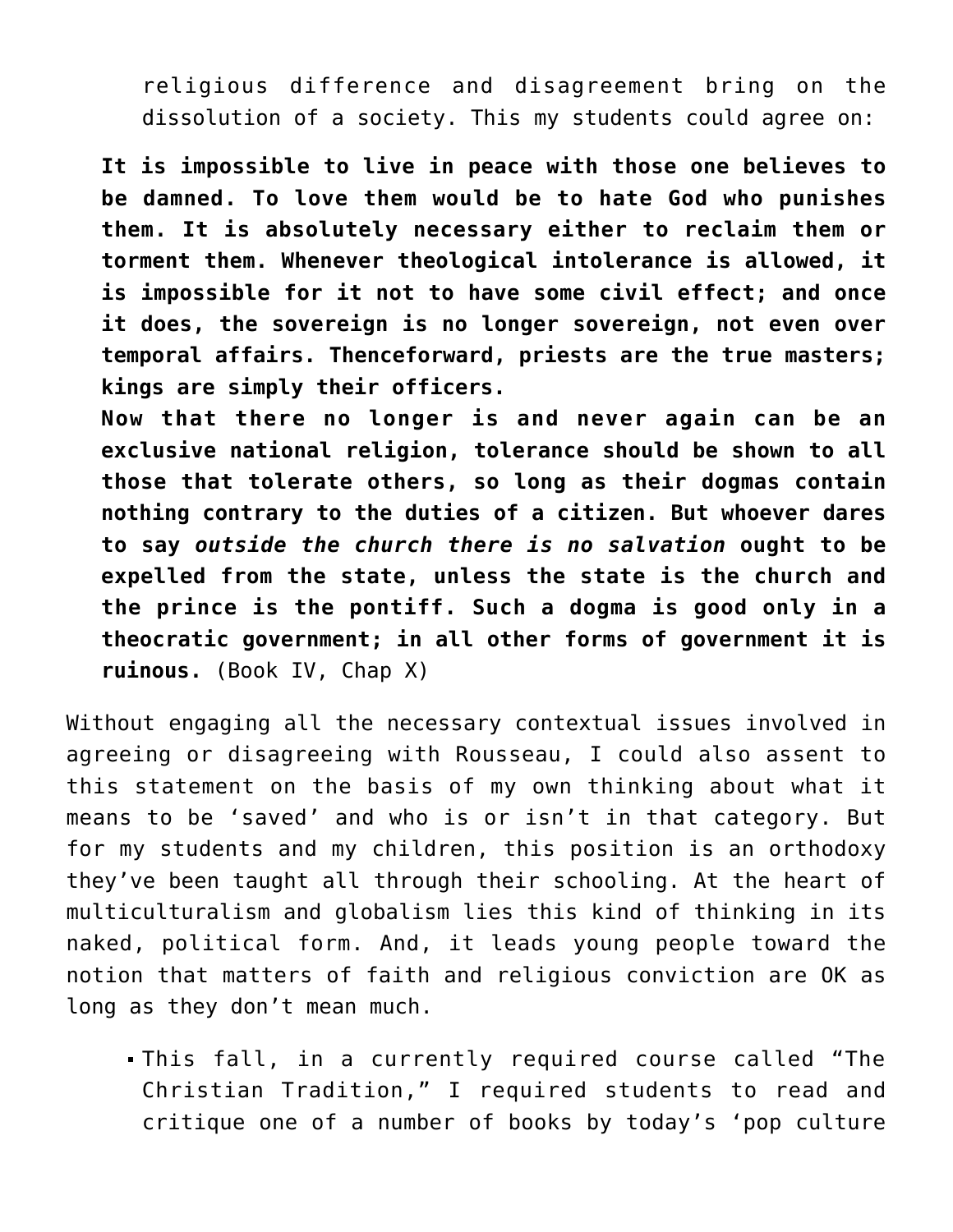religious difference and disagreement bring on the dissolution of a society. This my students could agree on:

**It is impossible to live in peace with those one believes to be damned. To love them would be to hate God who punishes them. It is absolutely necessary either to reclaim them or torment them. Whenever theological intolerance is allowed, it is impossible for it not to have some civil effect; and once it does, the sovereign is no longer sovereign, not even over temporal affairs. Thenceforward, priests are the true masters; kings are simply their officers.**

**Now that there no longer is and never again can be an exclusive national religion, tolerance should be shown to all those that tolerate others, so long as their dogmas contain nothing contrary to the duties of a citizen. But whoever dares to say** *outside the church there is no salvation* **ought to be expelled from the state, unless the state is the church and the prince is the pontiff. Such a dogma is good only in a theocratic government; in all other forms of government it is ruinous.** (Book IV, Chap X)

Without engaging all the necessary contextual issues involved in agreeing or disagreeing with Rousseau, I could also assent to this statement on the basis of my own thinking about what it means to be 'saved' and who is or isn't in that category. But for my students and my children, this position is an orthodoxy they've been taught all through their schooling. At the heart of multiculturalism and globalism lies this kind of thinking in its naked, political form. And, it leads young people toward the notion that matters of faith and religious conviction are OK as long as they don't mean much.

This fall, in a currently required course called "The Christian Tradition," I required students to read and critique one of a number of books by today's 'pop culture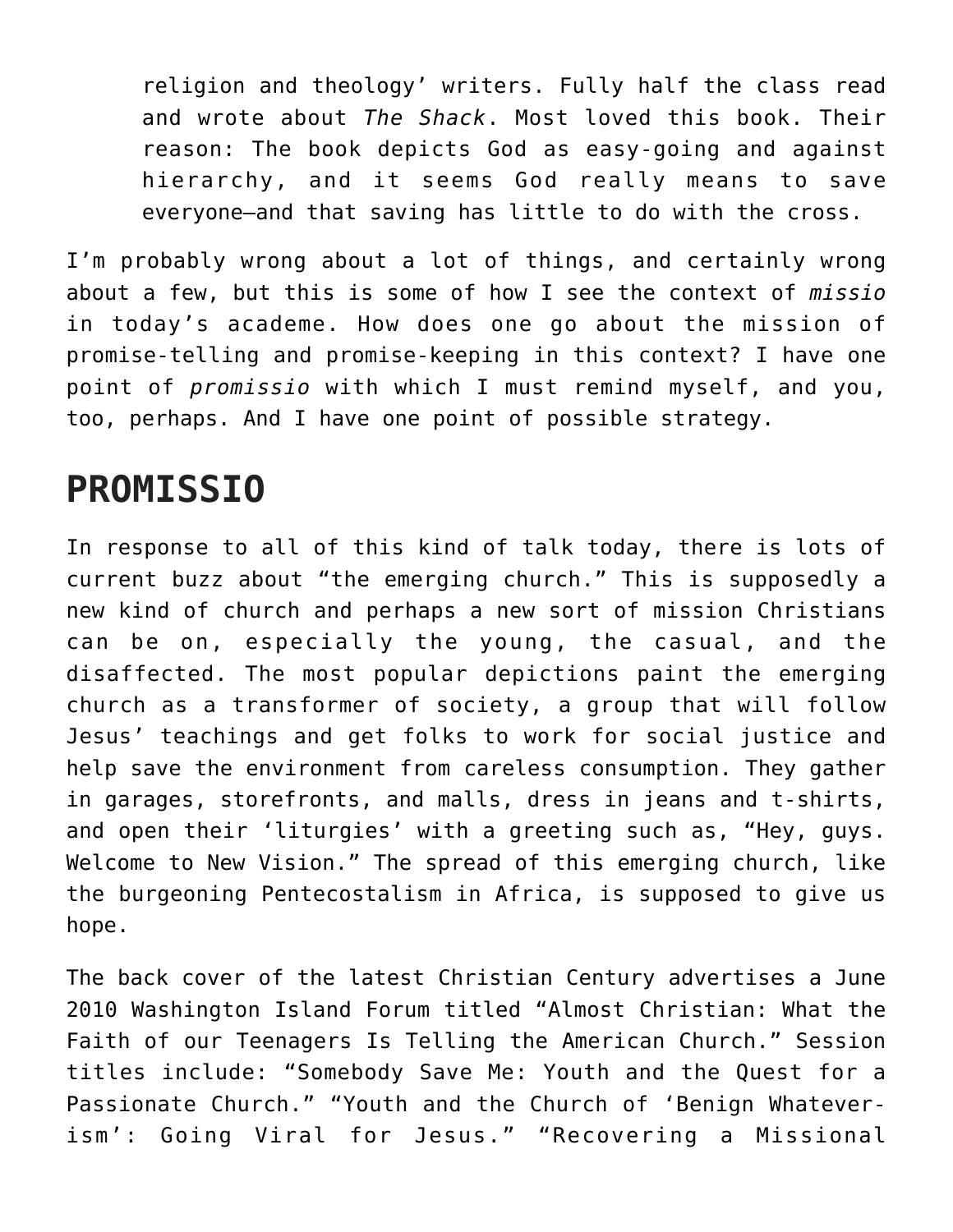religion and theology' writers. Fully half the class read and wrote about *The Shack*. Most loved this book. Their reason: The book depicts God as easy-going and against hierarchy, and it seems God really means to save everyone—and that saving has little to do with the cross.

I'm probably wrong about a lot of things, and certainly wrong about a few, but this is some of how I see the context of *missio* in today's academe. How does one go about the mission of promise-telling and promise-keeping in this context? I have one point of *promissio* with which I must remind myself, and you, too, perhaps. And I have one point of possible strategy.

## **PROMISSIO**

In response to all of this kind of talk today, there is lots of current buzz about "the emerging church." This is supposedly a new kind of church and perhaps a new sort of mission Christians can be on, especially the young, the casual, and the disaffected. The most popular depictions paint the emerging church as a transformer of society, a group that will follow Jesus' teachings and get folks to work for social justice and help save the environment from careless consumption. They gather in garages, storefronts, and malls, dress in jeans and t-shirts, and open their 'liturgies' with a greeting such as, "Hey, guys. Welcome to New Vision." The spread of this emerging church, like the burgeoning Pentecostalism in Africa, is supposed to give us hope.

The back cover of the latest Christian Century advertises a June 2010 Washington Island Forum titled "Almost Christian: What the Faith of our Teenagers Is Telling the American Church." Session titles include: "Somebody Save Me: Youth and the Quest for a Passionate Church." "Youth and the Church of 'Benign Whateverism': Going Viral for Jesus." "Recovering a Missional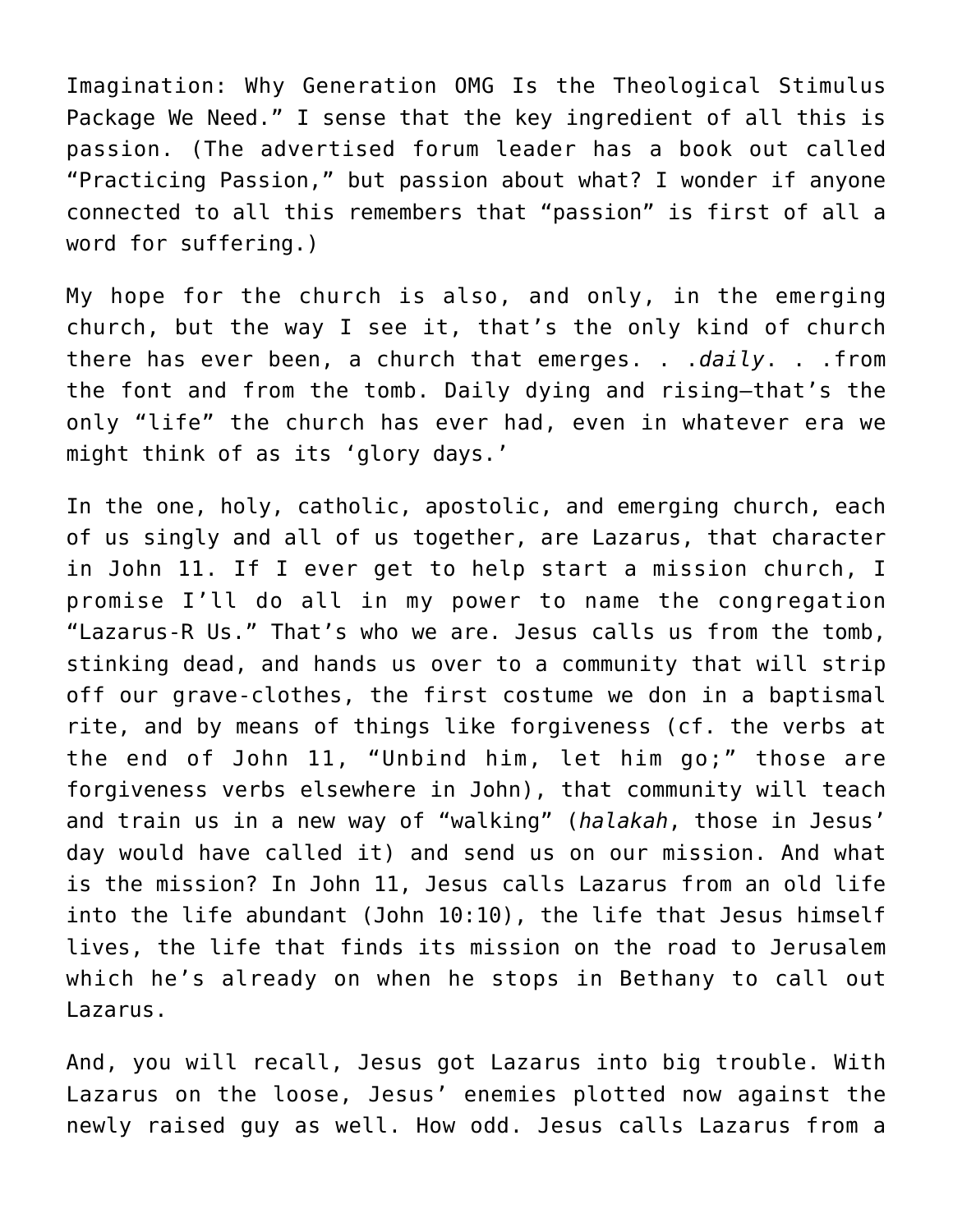Imagination: Why Generation OMG Is the Theological Stimulus Package We Need." I sense that the key ingredient of all this is passion. (The advertised forum leader has a book out called "Practicing Passion," but passion about what? I wonder if anyone connected to all this remembers that "passion" is first of all a word for suffering.)

My hope for the church is also, and only, in the emerging church, but the way I see it, that's the only kind of church there has ever been, a church that emerges. . .*daily*. . .from the font and from the tomb. Daily dying and rising—that's the only "life" the church has ever had, even in whatever era we might think of as its 'glory days.'

In the one, holy, catholic, apostolic, and emerging church, each of us singly and all of us together, are Lazarus, that character in John 11. If I ever get to help start a mission church, I promise I'll do all in my power to name the congregation "Lazarus-R Us." That's who we are. Jesus calls us from the tomb, stinking dead, and hands us over to a community that will strip off our grave-clothes, the first costume we don in a baptismal rite, and by means of things like forgiveness (cf. the verbs at the end of John 11, "Unbind him, let him go;" those are forgiveness verbs elsewhere in John), that community will teach and train us in a new way of "walking" (*halakah*, those in Jesus' day would have called it) and send us on our mission. And what is the mission? In John 11, Jesus calls Lazarus from an old life into the life abundant (John 10:10), the life that Jesus himself lives, the life that finds its mission on the road to Jerusalem which he's already on when he stops in Bethany to call out Lazarus.

And, you will recall, Jesus got Lazarus into big trouble. With Lazarus on the loose, Jesus' enemies plotted now against the newly raised guy as well. How odd. Jesus calls Lazarus from a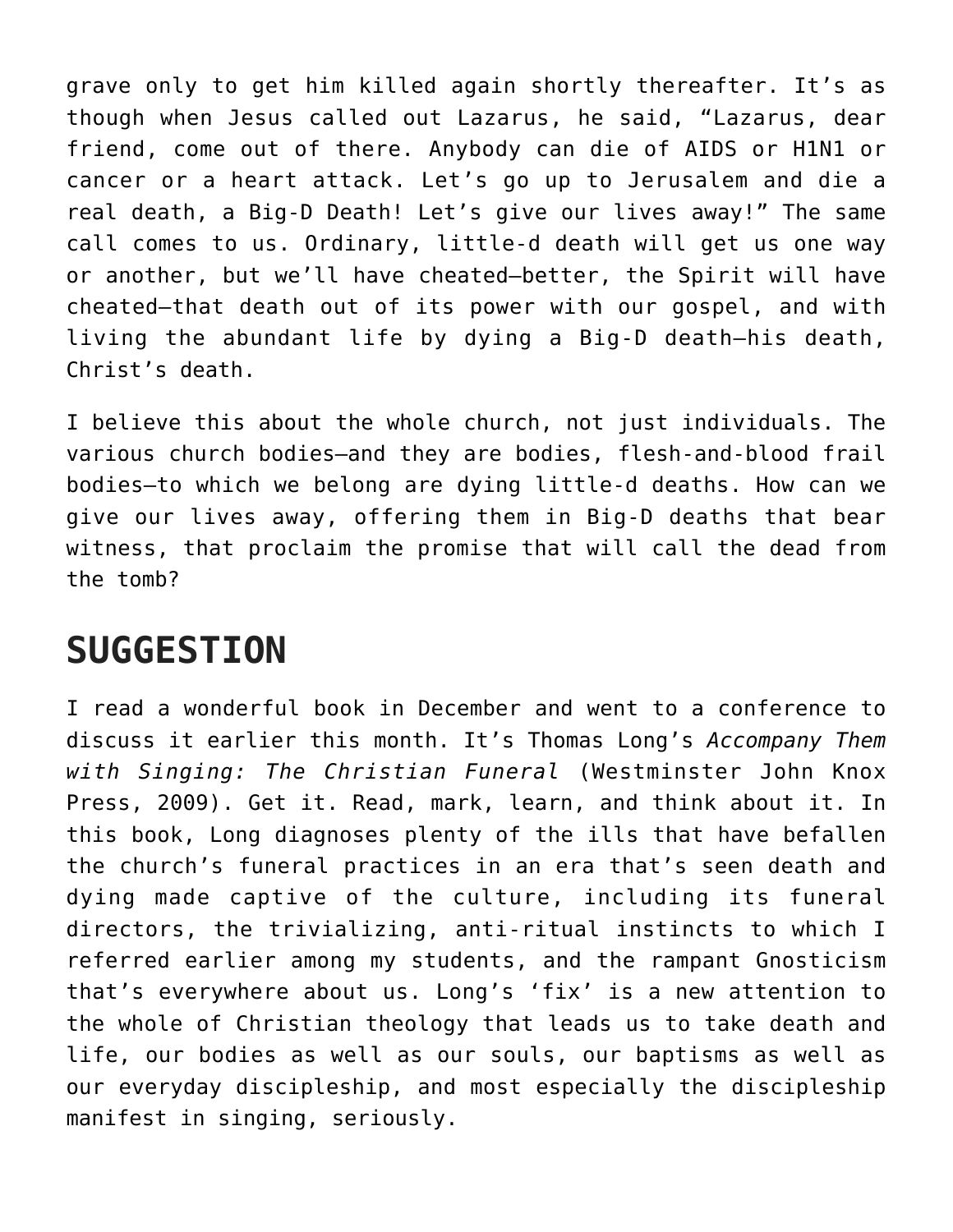grave only to get him killed again shortly thereafter. It's as though when Jesus called out Lazarus, he said, "Lazarus, dear friend, come out of there. Anybody can die of AIDS or H1N1 or cancer or a heart attack. Let's go up to Jerusalem and die a real death, a Big-D Death! Let's give our lives away!" The same call comes to us. Ordinary, little-d death will get us one way or another, but we'll have cheated—better, the Spirit will have cheated—that death out of its power with our gospel, and with living the abundant life by dying a Big-D death—his death, Christ's death.

I believe this about the whole church, not just individuals. The various church bodies—and they are bodies, flesh-and-blood frail bodies—to which we belong are dying little-d deaths. How can we give our lives away, offering them in Big-D deaths that bear witness, that proclaim the promise that will call the dead from the tomb?

#### **SUGGESTION**

I read a wonderful book in December and went to a conference to discuss it earlier this month. It's Thomas Long's *Accompany Them with Singing: The Christian Funeral* (Westminster John Knox Press, 2009). Get it. Read, mark, learn, and think about it. In this book, Long diagnoses plenty of the ills that have befallen the church's funeral practices in an era that's seen death and dying made captive of the culture, including its funeral directors, the trivializing, anti-ritual instincts to which I referred earlier among my students, and the rampant Gnosticism that's everywhere about us. Long's 'fix' is a new attention to the whole of Christian theology that leads us to take death and life, our bodies as well as our souls, our baptisms as well as our everyday discipleship, and most especially the discipleship manifest in singing, seriously.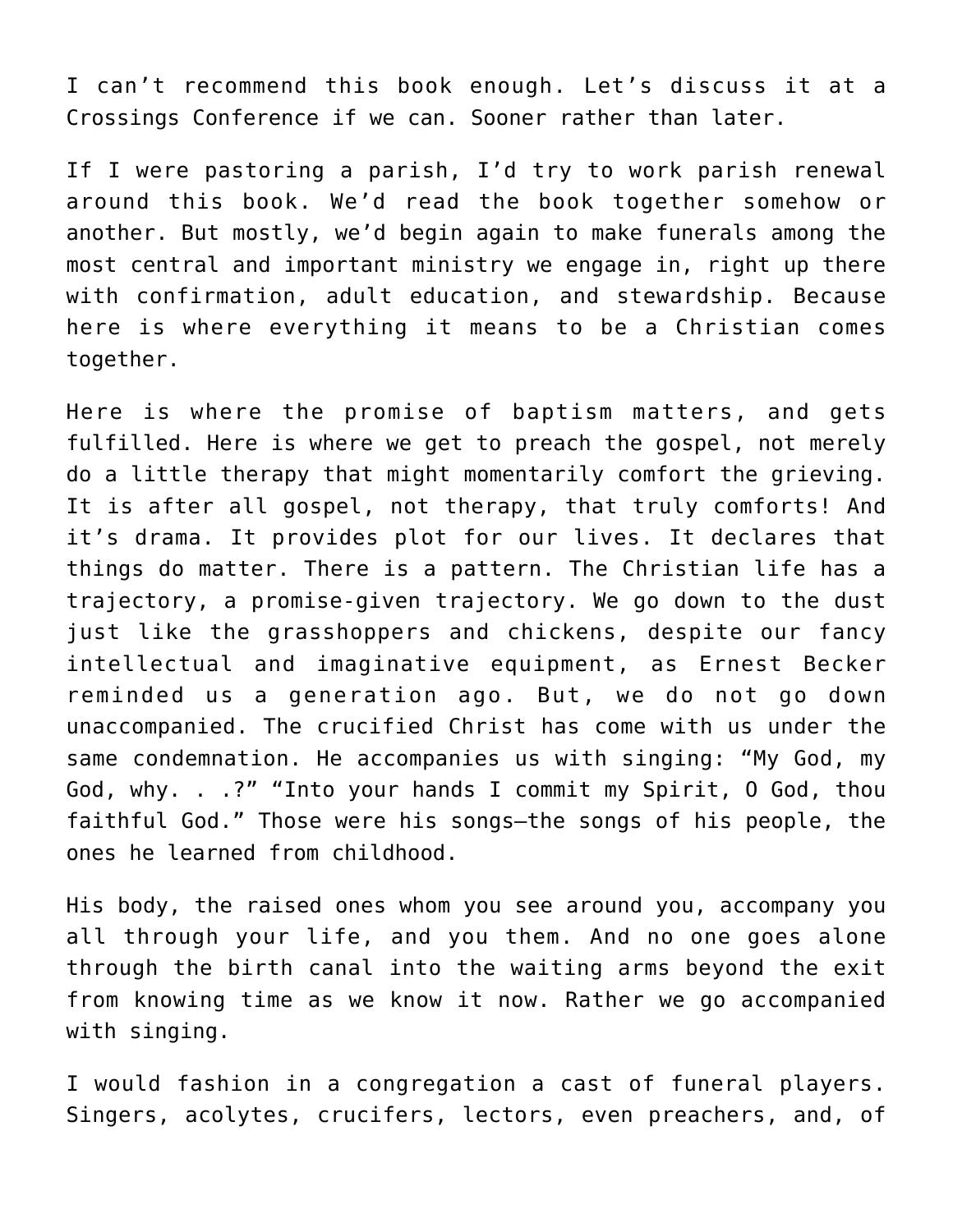I can't recommend this book enough. Let's discuss it at a Crossings Conference if we can. Sooner rather than later.

If I were pastoring a parish, I'd try to work parish renewal around this book. We'd read the book together somehow or another. But mostly, we'd begin again to make funerals among the most central and important ministry we engage in, right up there with confirmation, adult education, and stewardship. Because here is where everything it means to be a Christian comes together.

Here is where the promise of baptism matters, and gets fulfilled. Here is where we get to preach the gospel, not merely do a little therapy that might momentarily comfort the grieving. It is after all gospel, not therapy, that truly comforts! And it's drama. It provides plot for our lives. It declares that things do matter. There is a pattern. The Christian life has a trajectory, a promise-given trajectory. We go down to the dust just like the grasshoppers and chickens, despite our fancy intellectual and imaginative equipment, as Ernest Becker reminded us a generation ago. But, we do not go down unaccompanied. The crucified Christ has come with us under the same condemnation. He accompanies us with singing: "My God, my God, why. . .?" "Into your hands I commit my Spirit, O God, thou faithful God." Those were his songs—the songs of his people, the ones he learned from childhood.

His body, the raised ones whom you see around you, accompany you all through your life, and you them. And no one goes alone through the birth canal into the waiting arms beyond the exit from knowing time as we know it now. Rather we go accompanied with singing.

I would fashion in a congregation a cast of funeral players. Singers, acolytes, crucifers, lectors, even preachers, and, of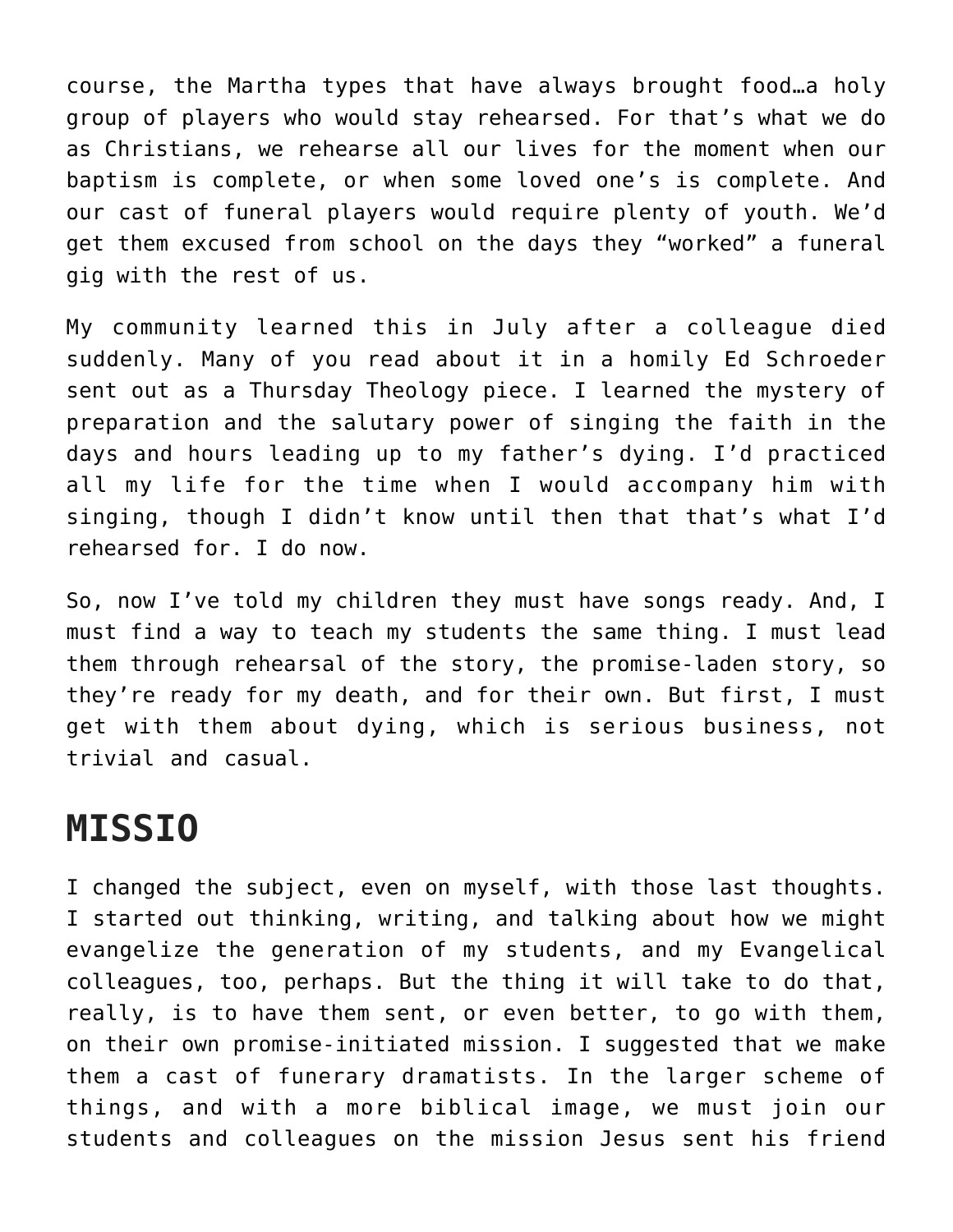course, the Martha types that have always brought food…a holy group of players who would stay rehearsed. For that's what we do as Christians, we rehearse all our lives for the moment when our baptism is complete, or when some loved one's is complete. And our cast of funeral players would require plenty of youth. We'd get them excused from school on the days they "worked" a funeral gig with the rest of us.

My community learned this in July after a colleague died suddenly. Many of you read about it in a homily Ed Schroeder sent out as a Thursday Theology piece. I learned the mystery of preparation and the salutary power of singing the faith in the days and hours leading up to my father's dying. I'd practiced all my life for the time when I would accompany him with singing, though I didn't know until then that that's what I'd rehearsed for. I do now.

So, now I've told my children they must have songs ready. And, I must find a way to teach my students the same thing. I must lead them through rehearsal of the story, the promise-laden story, so they're ready for my death, and for their own. But first, I must get with them about dying, which is serious business, not trivial and casual.

## **MISSIO**

I changed the subject, even on myself, with those last thoughts. I started out thinking, writing, and talking about how we might evangelize the generation of my students, and my Evangelical colleagues, too, perhaps. But the thing it will take to do that, really, is to have them sent, or even better, to go with them, on their own promise-initiated mission. I suggested that we make them a cast of funerary dramatists. In the larger scheme of things, and with a more biblical image, we must join our students and colleagues on the mission Jesus sent his friend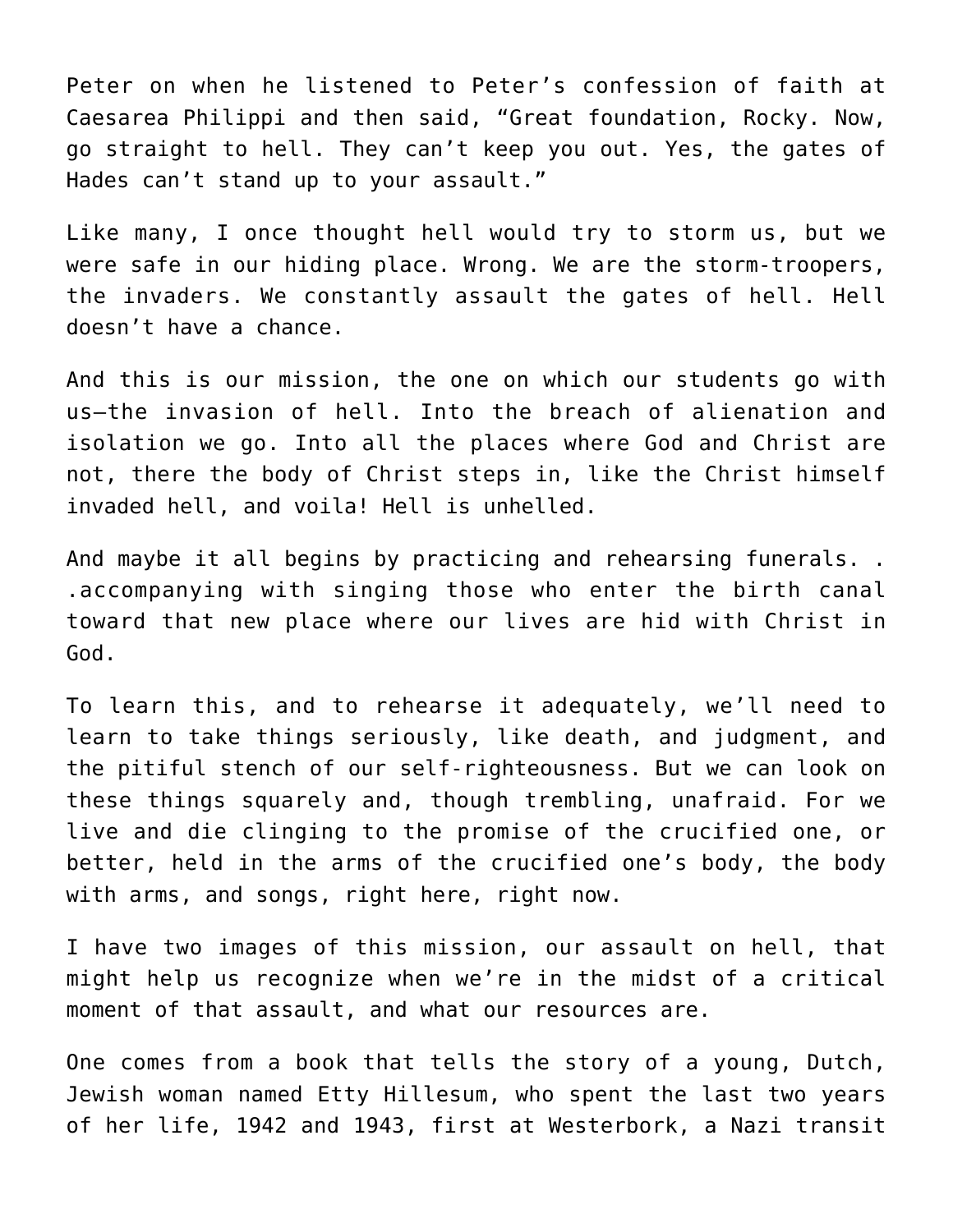Peter on when he listened to Peter's confession of faith at Caesarea Philippi and then said, "Great foundation, Rocky. Now, go straight to hell. They can't keep you out. Yes, the gates of Hades can't stand up to your assault."

Like many, I once thought hell would try to storm us, but we were safe in our hiding place. Wrong. We are the storm-troopers, the invaders. We constantly assault the gates of hell. Hell doesn't have a chance.

And this is our mission, the one on which our students go with us—the invasion of hell. Into the breach of alienation and isolation we go. Into all the places where God and Christ are not, there the body of Christ steps in, like the Christ himself invaded hell, and voila! Hell is unhelled.

And maybe it all begins by practicing and rehearsing funerals. . .accompanying with singing those who enter the birth canal toward that new place where our lives are hid with Christ in God.

To learn this, and to rehearse it adequately, we'll need to learn to take things seriously, like death, and judgment, and the pitiful stench of our self-righteousness. But we can look on these things squarely and, though trembling, unafraid. For we live and die clinging to the promise of the crucified one, or better, held in the arms of the crucified one's body, the body with arms, and songs, right here, right now.

I have two images of this mission, our assault on hell, that might help us recognize when we're in the midst of a critical moment of that assault, and what our resources are.

One comes from a book that tells the story of a young, Dutch, Jewish woman named Etty Hillesum, who spent the last two years of her life, 1942 and 1943, first at Westerbork, a Nazi transit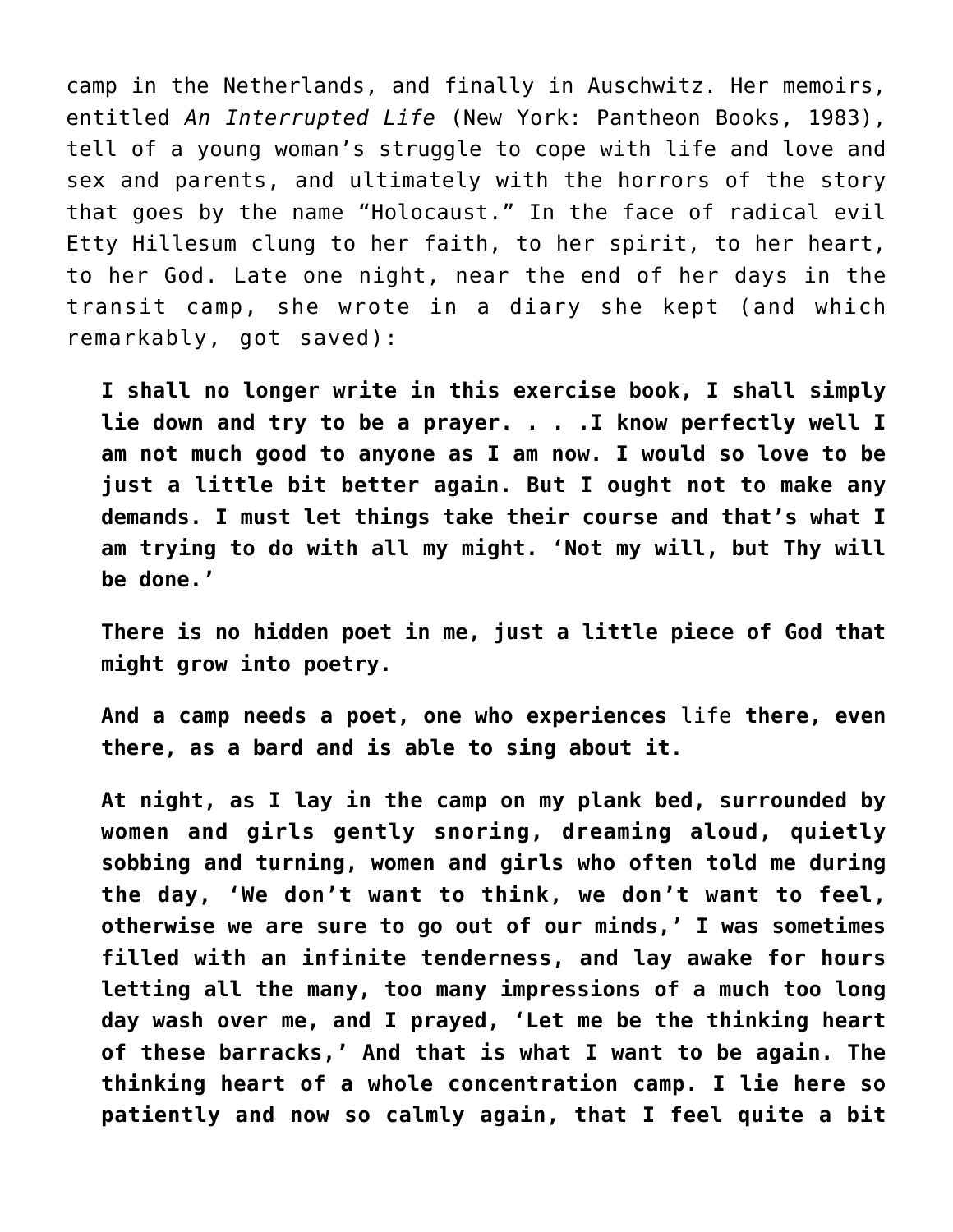camp in the Netherlands, and finally in Auschwitz. Her memoirs, entitled *An Interrupted Life* (New York: Pantheon Books, 1983), tell of a young woman's struggle to cope with life and love and sex and parents, and ultimately with the horrors of the story that goes by the name "Holocaust." In the face of radical evil Etty Hillesum clung to her faith, to her spirit, to her heart, to her God. Late one night, near the end of her days in the transit camp, she wrote in a diary she kept (and which remarkably, got saved):

**I shall no longer write in this exercise book, I shall simply lie down and try to be a prayer. . . .I know perfectly well I am not much good to anyone as I am now. I would so love to be just a little bit better again. But I ought not to make any demands. I must let things take their course and that's what I am trying to do with all my might. 'Not my will, but Thy will be done.'**

**There is no hidden poet in me, just a little piece of God that might grow into poetry.**

**And a camp needs a poet, one who experiences** life **there, even there, as a bard and is able to sing about it.**

**At night, as I lay in the camp on my plank bed, surrounded by women and girls gently snoring, dreaming aloud, quietly sobbing and turning, women and girls who often told me during the day, 'We don't want to think, we don't want to feel, otherwise we are sure to go out of our minds,' I was sometimes filled with an infinite tenderness, and lay awake for hours letting all the many, too many impressions of a much too long day wash over me, and I prayed, 'Let me be the thinking heart of these barracks,' And that is what I want to be again. The thinking heart of a whole concentration camp. I lie here so patiently and now so calmly again, that I feel quite a bit**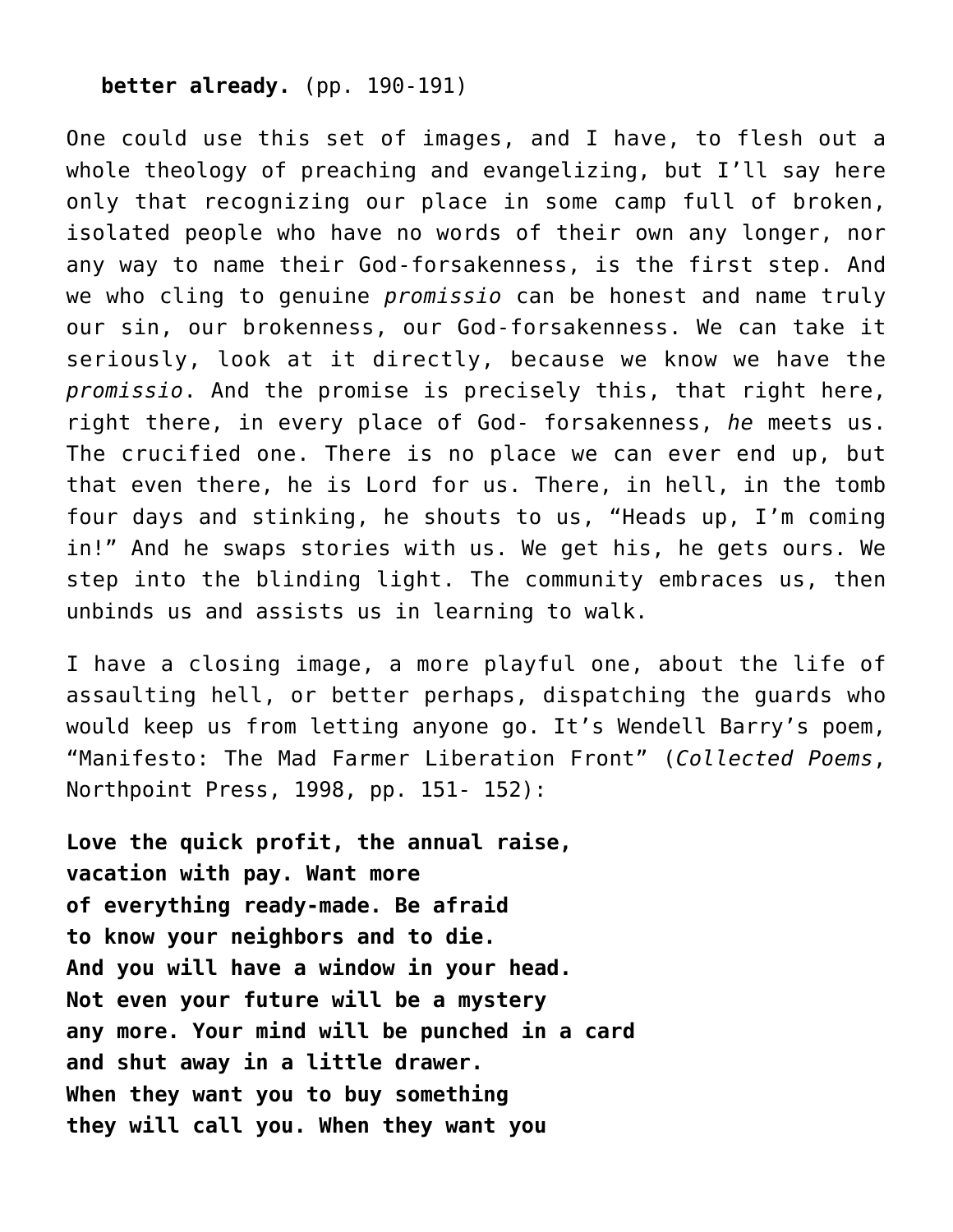#### **better already.** (pp. 190-191)

One could use this set of images, and I have, to flesh out a whole theology of preaching and evangelizing, but I'll say here only that recognizing our place in some camp full of broken, isolated people who have no words of their own any longer, nor any way to name their God-forsakenness, is the first step. And we who cling to genuine *promissio* can be honest and name truly our sin, our brokenness, our God-forsakenness. We can take it seriously, look at it directly, because we know we have the *promissio*. And the promise is precisely this, that right here, right there, in every place of God- forsakenness, *he* meets us. The crucified one. There is no place we can ever end up, but that even there, he is Lord for us. There, in hell, in the tomb four days and stinking, he shouts to us, "Heads up, I'm coming in!" And he swaps stories with us. We get his, he gets ours. We step into the blinding light. The community embraces us, then unbinds us and assists us in learning to walk.

I have a closing image, a more playful one, about the life of assaulting hell, or better perhaps, dispatching the guards who would keep us from letting anyone go. It's Wendell Barry's poem, "Manifesto: The Mad Farmer Liberation Front" (*Collected Poems*, Northpoint Press, 1998, pp. 151- 152):

**Love the quick profit, the annual raise, vacation with pay. Want more of everything ready-made. Be afraid to know your neighbors and to die. And you will have a window in your head. Not even your future will be a mystery any more. Your mind will be punched in a card and shut away in a little drawer. When they want you to buy something they will call you. When they want you**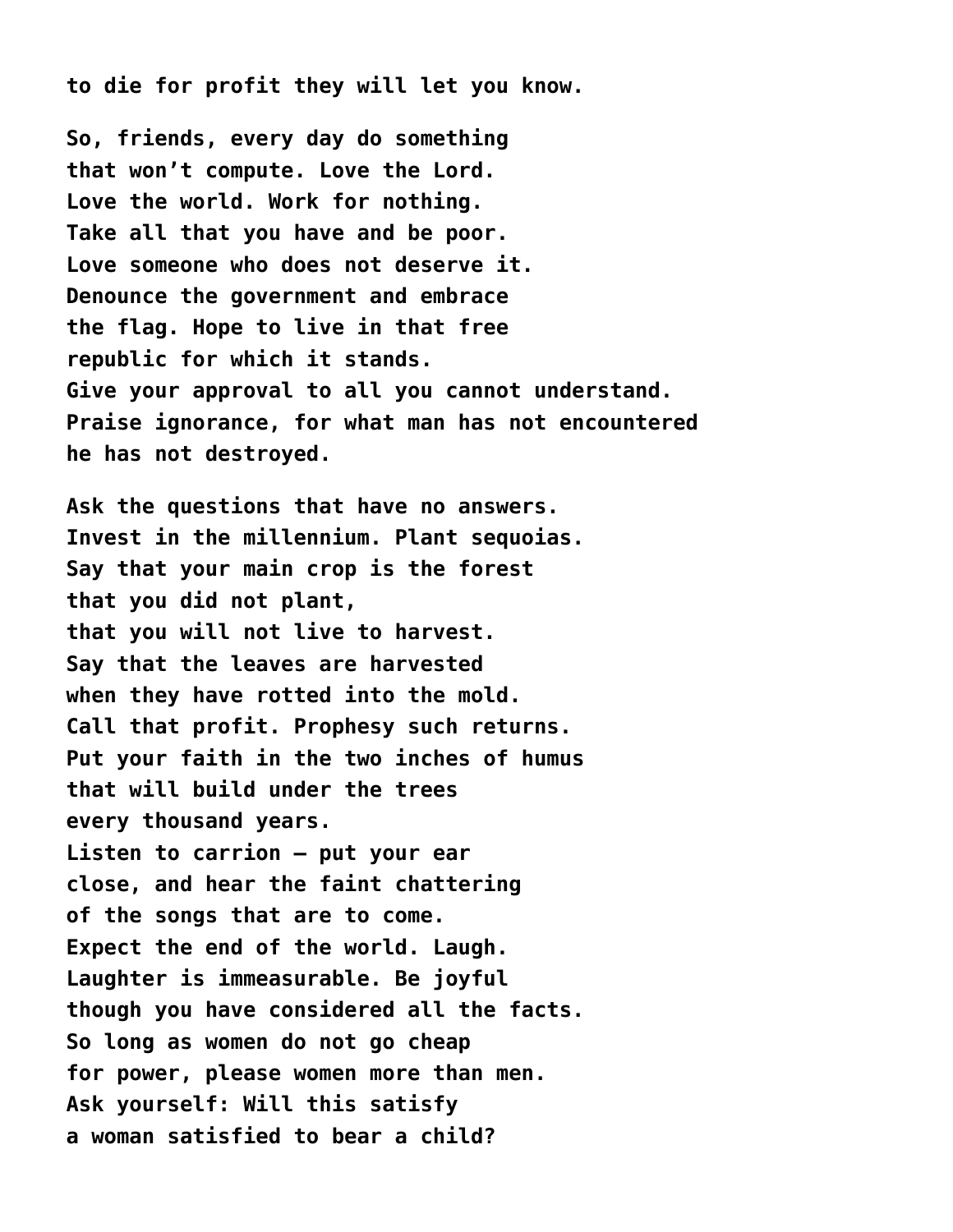**to die for profit they will let you know.**

**So, friends, every day do something that won't compute. Love the Lord. Love the world. Work for nothing. Take all that you have and be poor. Love someone who does not deserve it. Denounce the government and embrace the flag. Hope to live in that free republic for which it stands. Give your approval to all you cannot understand. Praise ignorance, for what man has not encountered he has not destroyed.**

**Ask the questions that have no answers. Invest in the millennium. Plant sequoias. Say that your main crop is the forest that you did not plant, that you will not live to harvest. Say that the leaves are harvested when they have rotted into the mold. Call that profit. Prophesy such returns. Put your faith in the two inches of humus that will build under the trees every thousand years. Listen to carrion – put your ear close, and hear the faint chattering of the songs that are to come. Expect the end of the world. Laugh. Laughter is immeasurable. Be joyful though you have considered all the facts. So long as women do not go cheap for power, please women more than men. Ask yourself: Will this satisfy a woman satisfied to bear a child?**